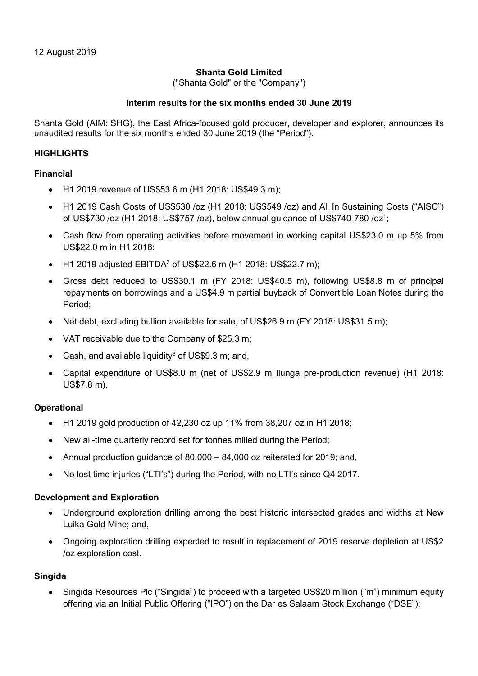# Shanta Gold Limited

("Shanta Gold" or the "Company")

## Interim results for the six months ended 30 June 2019

Shanta Gold (AIM: SHG), the East Africa-focused gold producer, developer and explorer, announces its unaudited results for the six months ended 30 June 2019 (the "Period").

## **HIGHLIGHTS**

## Financial

- H1 2019 revenue of US\$53.6 m (H1 2018: US\$49.3 m);
- H1 2019 Cash Costs of US\$530 /oz (H1 2018: US\$549 /oz) and All In Sustaining Costs ("AISC") of US\$730 /oz (H1 2018: US\$757 /oz), below annual guidance of US\$740-780 /oz<sup>1</sup>;
- Cash flow from operating activities before movement in working capital US\$23.0 m up 5% from US\$22.0 m in H1 2018;
- H1 2019 adjusted EBITDA<sup>2</sup> of US\$22.6 m (H1 2018: US\$22.7 m);
- Gross debt reduced to US\$30.1 m (FY 2018: US\$40.5 m), following US\$8.8 m of principal repayments on borrowings and a US\$4.9 m partial buyback of Convertible Loan Notes during the Period;
- Net debt, excluding bullion available for sale, of US\$26.9 m (FY 2018: US\$31.5 m);
- VAT receivable due to the Company of \$25.3 m;
- Cash, and available liquidity<sup>3</sup> of US\$9.3 m; and,
- Capital expenditure of US\$8.0 m (net of US\$2.9 m Ilunga pre-production revenue) (H1 2018: US\$7.8 m).

## **Operational**

- H1 2019 gold production of 42,230 oz up 11% from 38,207 oz in H1 2018;
- New all-time quarterly record set for tonnes milled during the Period:
- Annual production guidance of 80,000 84,000 oz reiterated for 2019; and,
- No lost time injuries ("LTI's") during the Period, with no LTI's since Q4 2017.

## Development and Exploration

- Underground exploration drilling among the best historic intersected grades and widths at New Luika Gold Mine; and,
- Ongoing exploration drilling expected to result in replacement of 2019 reserve depletion at US\$2 /oz exploration cost.

## **Singida**

• Singida Resources Plc ("Singida") to proceed with a targeted US\$20 million ("m") minimum equity offering via an Initial Public Offering ("IPO") on the Dar es Salaam Stock Exchange ("DSE");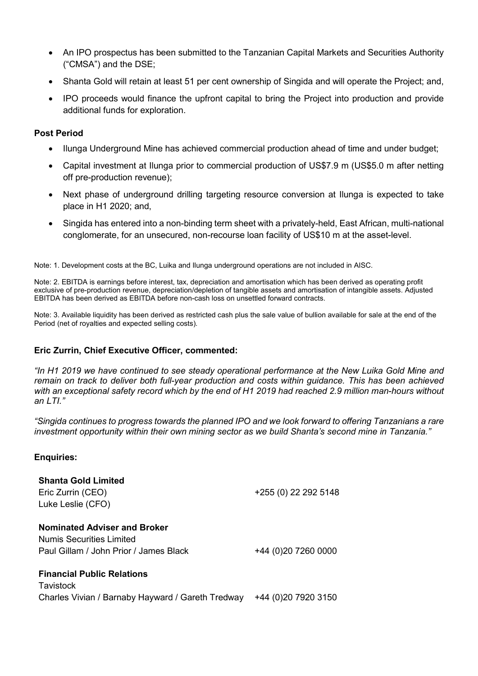- An IPO prospectus has been submitted to the Tanzanian Capital Markets and Securities Authority ("CMSA") and the DSE;
- Shanta Gold will retain at least 51 per cent ownership of Singida and will operate the Project; and,
- IPO proceeds would finance the upfront capital to bring the Project into production and provide additional funds for exploration.

## Post Period

- Ilunga Underground Mine has achieved commercial production ahead of time and under budget;
- Capital investment at Ilunga prior to commercial production of US\$7.9 m (US\$5.0 m after netting off pre-production revenue);
- Next phase of underground drilling targeting resource conversion at Ilunga is expected to take place in H1 2020; and,
- Singida has entered into a non-binding term sheet with a privately-held, East African, multi-national conglomerate, for an unsecured, non-recourse loan facility of US\$10 m at the asset-level.

Note: 1. Development costs at the BC, Luika and Ilunga underground operations are not included in AISC.

Note: 2. EBITDA is earnings before interest, tax, depreciation and amortisation which has been derived as operating profit exclusive of pre-production revenue, depreciation/depletion of tangible assets and amortisation of intangible assets. Adjusted EBITDA has been derived as EBITDA before non-cash loss on unsettled forward contracts.

Note: 3. Available liquidity has been derived as restricted cash plus the sale value of bullion available for sale at the end of the Period (net of royalties and expected selling costs).

## Eric Zurrin, Chief Executive Officer, commented:

"In H1 2019 we have continued to see steady operational performance at the New Luika Gold Mine and remain on track to deliver both full-year production and costs within guidance. This has been achieved with an exceptional safety record which by the end of H1 2019 had reached 2.9 million man-hours without an  $LTI$ "

"Singida continues to progress towards the planned IPO and we look forward to offering Tanzanians a rare investment opportunity within their own mining sector as we build Shanta's second mine in Tanzania."

## Enquiries:

| <b>Shanta Gold Limited</b><br>Eric Zurrin (CEO)<br>Luke Leslie (CFO)                                      | +255 (0) 22 292 5148 |
|-----------------------------------------------------------------------------------------------------------|----------------------|
| <b>Nominated Adviser and Broker</b><br>Numis Securities Limited<br>Paul Gillam / John Prior / James Black | +44 (0)20 7260 0000  |
| <b>Financial Public Relations</b><br>Tavistock                                                            |                      |

Charles Vivian / Barnaby Hayward / Gareth Tredway +44 (0)20 7920 3150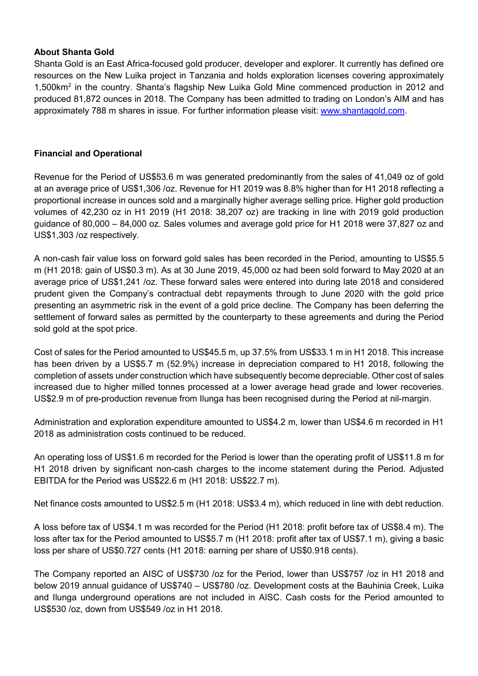# About Shanta Gold

Shanta Gold is an East Africa-focused gold producer, developer and explorer. It currently has defined ore resources on the New Luika project in Tanzania and holds exploration licenses covering approximately 1,500km<sup>2</sup> in the country. Shanta's flagship New Luika Gold Mine commenced production in 2012 and produced 81,872 ounces in 2018. The Company has been admitted to trading on London's AIM and has approximately 788 m shares in issue. For further information please visit: www.shantagold.com.

## Financial and Operational

Revenue for the Period of US\$53.6 m was generated predominantly from the sales of 41,049 oz of gold at an average price of US\$1,306 /oz. Revenue for H1 2019 was 8.8% higher than for H1 2018 reflecting a proportional increase in ounces sold and a marginally higher average selling price. Higher gold production volumes of 42,230 oz in H1 2019 (H1 2018: 38,207 oz) are tracking in line with 2019 gold production guidance of 80,000 – 84,000 oz. Sales volumes and average gold price for H1 2018 were 37,827 oz and US\$1,303 /oz respectively.

A non-cash fair value loss on forward gold sales has been recorded in the Period, amounting to US\$5.5 m (H1 2018: gain of US\$0.3 m). As at 30 June 2019, 45,000 oz had been sold forward to May 2020 at an average price of US\$1,241 /oz. These forward sales were entered into during late 2018 and considered prudent given the Company's contractual debt repayments through to June 2020 with the gold price presenting an asymmetric risk in the event of a gold price decline. The Company has been deferring the settlement of forward sales as permitted by the counterparty to these agreements and during the Period sold gold at the spot price.

Cost of sales for the Period amounted to US\$45.5 m, up 37.5% from US\$33.1 m in H1 2018. This increase has been driven by a US\$5.7 m (52.9%) increase in depreciation compared to H1 2018, following the completion of assets under construction which have subsequently become depreciable. Other cost of sales increased due to higher milled tonnes processed at a lower average head grade and lower recoveries. US\$2.9 m of pre-production revenue from Ilunga has been recognised during the Period at nil-margin.

Administration and exploration expenditure amounted to US\$4.2 m, lower than US\$4.6 m recorded in H1 2018 as administration costs continued to be reduced.

An operating loss of US\$1.6 m recorded for the Period is lower than the operating profit of US\$11.8 m for H1 2018 driven by significant non-cash charges to the income statement during the Period. Adjusted EBITDA for the Period was US\$22.6 m (H1 2018: US\$22.7 m).

Net finance costs amounted to US\$2.5 m (H1 2018: US\$3.4 m), which reduced in line with debt reduction.

A loss before tax of US\$4.1 m was recorded for the Period (H1 2018: profit before tax of US\$8.4 m). The loss after tax for the Period amounted to US\$5.7 m (H1 2018: profit after tax of US\$7.1 m), giving a basic loss per share of US\$0.727 cents (H1 2018: earning per share of US\$0.918 cents).

The Company reported an AISC of US\$730 /oz for the Period, lower than US\$757 /oz in H1 2018 and below 2019 annual guidance of US\$740 – US\$780 /oz. Development costs at the Bauhinia Creek, Luika and Ilunga underground operations are not included in AISC. Cash costs for the Period amounted to US\$530 /oz, down from US\$549 /oz in H1 2018.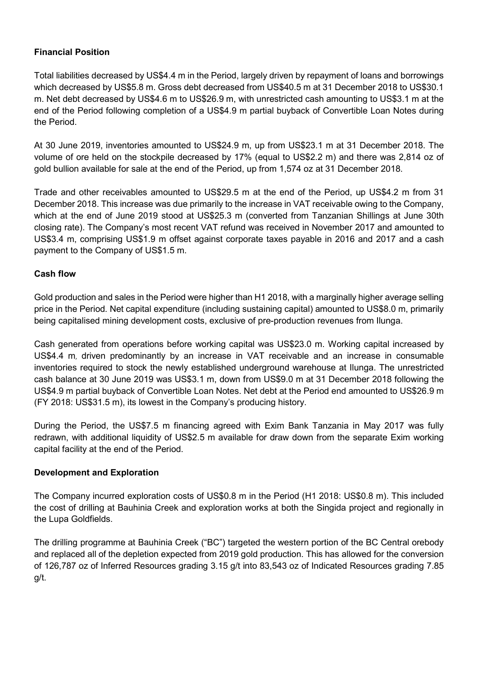# Financial Position

Total liabilities decreased by US\$4.4 m in the Period, largely driven by repayment of loans and borrowings which decreased by US\$5.8 m. Gross debt decreased from US\$40.5 m at 31 December 2018 to US\$30.1 m. Net debt decreased by US\$4.6 m to US\$26.9 m, with unrestricted cash amounting to US\$3.1 m at the end of the Period following completion of a US\$4.9 m partial buyback of Convertible Loan Notes during the Period.

At 30 June 2019, inventories amounted to US\$24.9 m, up from US\$23.1 m at 31 December 2018. The volume of ore held on the stockpile decreased by 17% (equal to US\$2.2 m) and there was 2,814 oz of gold bullion available for sale at the end of the Period, up from 1,574 oz at 31 December 2018.

Trade and other receivables amounted to US\$29.5 m at the end of the Period, up US\$4.2 m from 31 December 2018. This increase was due primarily to the increase in VAT receivable owing to the Company, which at the end of June 2019 stood at US\$25.3 m (converted from Tanzanian Shillings at June 30th closing rate). The Company's most recent VAT refund was received in November 2017 and amounted to US\$3.4 m, comprising US\$1.9 m offset against corporate taxes payable in 2016 and 2017 and a cash payment to the Company of US\$1.5 m.

# Cash flow

Gold production and sales in the Period were higher than H1 2018, with a marginally higher average selling price in the Period. Net capital expenditure (including sustaining capital) amounted to US\$8.0 m, primarily being capitalised mining development costs, exclusive of pre-production revenues from Ilunga.

Cash generated from operations before working capital was US\$23.0 m. Working capital increased by US\$4.4 m, driven predominantly by an increase in VAT receivable and an increase in consumable inventories required to stock the newly established underground warehouse at Ilunga. The unrestricted cash balance at 30 June 2019 was US\$3.1 m, down from US\$9.0 m at 31 December 2018 following the US\$4.9 m partial buyback of Convertible Loan Notes. Net debt at the Period end amounted to US\$26.9 m (FY 2018: US\$31.5 m), its lowest in the Company's producing history.

During the Period, the US\$7.5 m financing agreed with Exim Bank Tanzania in May 2017 was fully redrawn, with additional liquidity of US\$2.5 m available for draw down from the separate Exim working capital facility at the end of the Period.

# Development and Exploration

The Company incurred exploration costs of US\$0.8 m in the Period (H1 2018: US\$0.8 m). This included the cost of drilling at Bauhinia Creek and exploration works at both the Singida project and regionally in the Lupa Goldfields.

The drilling programme at Bauhinia Creek ("BC") targeted the western portion of the BC Central orebody and replaced all of the depletion expected from 2019 gold production. This has allowed for the conversion of 126,787 oz of Inferred Resources grading 3.15 g/t into 83,543 oz of Indicated Resources grading 7.85 g/t.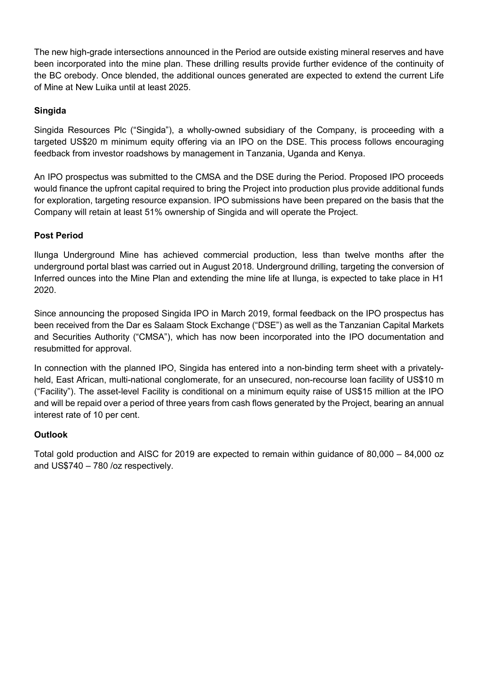The new high-grade intersections announced in the Period are outside existing mineral reserves and have been incorporated into the mine plan. These drilling results provide further evidence of the continuity of the BC orebody. Once blended, the additional ounces generated are expected to extend the current Life of Mine at New Luika until at least 2025.

# Singida

Singida Resources Plc ("Singida"), a wholly-owned subsidiary of the Company, is proceeding with a targeted US\$20 m minimum equity offering via an IPO on the DSE. This process follows encouraging feedback from investor roadshows by management in Tanzania, Uganda and Kenya.

An IPO prospectus was submitted to the CMSA and the DSE during the Period. Proposed IPO proceeds would finance the upfront capital required to bring the Project into production plus provide additional funds for exploration, targeting resource expansion. IPO submissions have been prepared on the basis that the Company will retain at least 51% ownership of Singida and will operate the Project.

# Post Period

Ilunga Underground Mine has achieved commercial production, less than twelve months after the underground portal blast was carried out in August 2018. Underground drilling, targeting the conversion of Inferred ounces into the Mine Plan and extending the mine life at Ilunga, is expected to take place in H1 2020.

Since announcing the proposed Singida IPO in March 2019, formal feedback on the IPO prospectus has been received from the Dar es Salaam Stock Exchange ("DSE") as well as the Tanzanian Capital Markets and Securities Authority ("CMSA"), which has now been incorporated into the IPO documentation and resubmitted for approval.

In connection with the planned IPO, Singida has entered into a non-binding term sheet with a privatelyheld, East African, multi-national conglomerate, for an unsecured, non-recourse loan facility of US\$10 m ("Facility"). The asset-level Facility is conditional on a minimum equity raise of US\$15 million at the IPO and will be repaid over a period of three years from cash flows generated by the Project, bearing an annual interest rate of 10 per cent.

# **Outlook**

Total gold production and AISC for 2019 are expected to remain within guidance of 80,000 – 84,000 oz and US\$740 – 780 /oz respectively.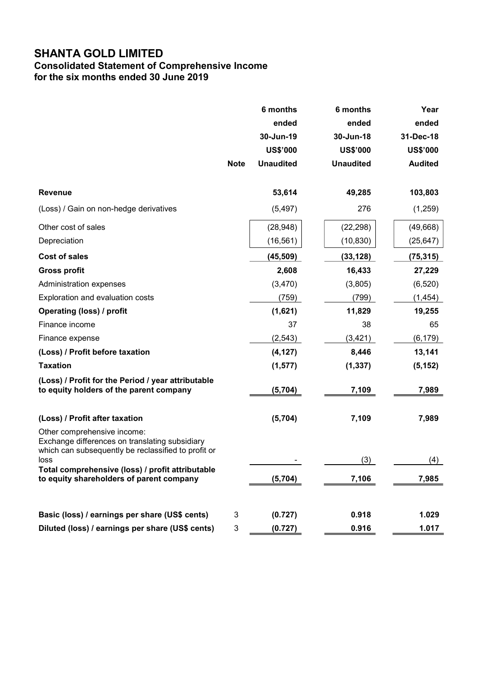# Consolidated Statement of Comprehensive Income for the six months ended 30 June 2019

|                                                                                                               | <b>Note</b> | 6 months<br>ended<br>30-Jun-19<br><b>US\$'000</b><br><b>Unaudited</b> | 6 months<br>ended<br>30-Jun-18<br><b>US\$'000</b><br><b>Unaudited</b> | Year<br>ended<br>31-Dec-18<br><b>US\$'000</b><br><b>Audited</b> |
|---------------------------------------------------------------------------------------------------------------|-------------|-----------------------------------------------------------------------|-----------------------------------------------------------------------|-----------------------------------------------------------------|
| <b>Revenue</b>                                                                                                |             | 53,614                                                                | 49,285                                                                | 103,803                                                         |
| (Loss) / Gain on non-hedge derivatives                                                                        |             | (5, 497)                                                              | 276                                                                   | (1,259)                                                         |
| Other cost of sales                                                                                           |             | (28, 948)                                                             | (22, 298)                                                             | (49, 668)                                                       |
| Depreciation                                                                                                  |             | (16, 561)                                                             | (10, 830)                                                             | (25, 647)                                                       |
| <b>Cost of sales</b>                                                                                          |             | (45, 509)                                                             | (33, 128)                                                             | (75, 315)                                                       |
| <b>Gross profit</b>                                                                                           |             | 2,608                                                                 | 16,433                                                                | 27,229                                                          |
| Administration expenses                                                                                       |             | (3,470)                                                               | (3,805)                                                               | (6, 520)                                                        |
| Exploration and evaluation costs                                                                              |             | (759)                                                                 | (799)                                                                 | (1, 454)                                                        |
| <b>Operating (loss) / profit</b>                                                                              |             | (1,621)                                                               | 11,829                                                                | 19,255                                                          |
| Finance income                                                                                                |             | 37                                                                    | 38                                                                    | 65                                                              |
| Finance expense                                                                                               |             | (2, 543)                                                              | (3, 421)                                                              | (6, 179)                                                        |
| (Loss) / Profit before taxation                                                                               |             | (4, 127)                                                              | 8,446                                                                 | 13,141                                                          |
| <b>Taxation</b>                                                                                               |             | (1, 577)                                                              | (1, 337)                                                              | (5, 152)                                                        |
| (Loss) / Profit for the Period / year attributable<br>to equity holders of the parent company                 |             | (5,704)                                                               | 7,109                                                                 | 7,989                                                           |
| (Loss) / Profit after taxation<br>Other comprehensive income:                                                 |             | (5,704)                                                               | 7,109                                                                 | 7,989                                                           |
| Exchange differences on translating subsidiary<br>which can subsequently be reclassified to profit or<br>loss |             |                                                                       | (3)                                                                   | (4)                                                             |
| Total comprehensive (loss) / profit attributable<br>to equity shareholders of parent company                  |             | (5, 704)                                                              | 7,106                                                                 | 7,985                                                           |
| Basic (loss) / earnings per share (US\$ cents)                                                                | 3           | (0.727)                                                               | 0.918                                                                 | 1.029                                                           |
| Diluted (loss) / earnings per share (US\$ cents)                                                              | 3           | (0.727)                                                               | 0.916                                                                 | 1.017                                                           |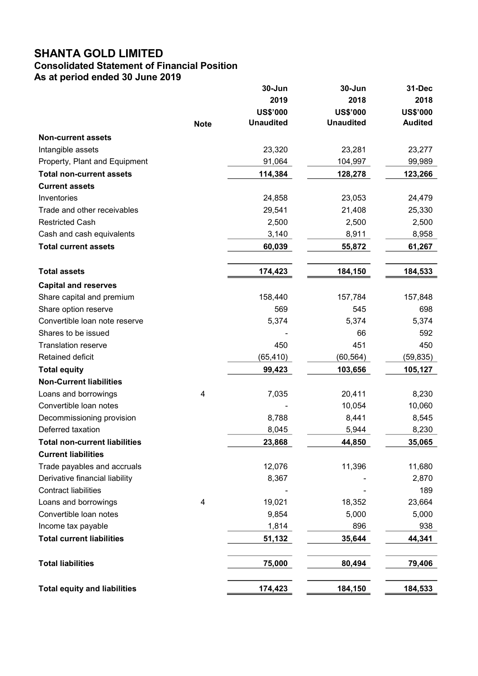# Consolidated Statement of Financial Position

As at period ended 30 June 2019

|                                      |             | 30-Jun           | 30-Jun           | 31-Dec          |
|--------------------------------------|-------------|------------------|------------------|-----------------|
|                                      |             | 2019             | 2018             | 2018            |
|                                      |             | <b>US\$'000</b>  | <b>US\$'000</b>  | <b>US\$'000</b> |
|                                      | <b>Note</b> | <b>Unaudited</b> | <b>Unaudited</b> | <b>Audited</b>  |
| <b>Non-current assets</b>            |             |                  |                  |                 |
| Intangible assets                    |             | 23,320           | 23,281           | 23,277          |
| Property, Plant and Equipment        |             | 91,064           | 104,997          | 99,989          |
| <b>Total non-current assets</b>      |             | 114,384          | 128,278          | 123,266         |
| <b>Current assets</b>                |             |                  |                  |                 |
| Inventories                          |             | 24,858           | 23,053           | 24,479          |
| Trade and other receivables          |             | 29,541           | 21,408           | 25,330          |
| <b>Restricted Cash</b>               |             | 2,500            | 2,500            | 2,500           |
| Cash and cash equivalents            |             | 3,140            | 8,911            | 8,958           |
| <b>Total current assets</b>          |             | 60,039           | 55,872           | 61,267          |
| <b>Total assets</b>                  |             | 174,423          | 184,150          | 184,533         |
| <b>Capital and reserves</b>          |             |                  |                  |                 |
| Share capital and premium            |             | 158,440          | 157,784          | 157,848         |
| Share option reserve                 |             | 569              | 545              | 698             |
| Convertible loan note reserve        |             | 5,374            | 5,374            | 5,374           |
| Shares to be issued                  |             |                  | 66               | 592             |
| <b>Translation reserve</b>           |             | 450              | 451              | 450             |
| Retained deficit                     |             | (65,410)         | (60, 564)        | (59, 835)       |
| <b>Total equity</b>                  |             | 99,423           | 103,656          | 105,127         |
| <b>Non-Current liabilities</b>       |             |                  |                  |                 |
| Loans and borrowings                 | 4           | 7,035            | 20,411           | 8,230           |
| Convertible loan notes               |             |                  | 10,054           | 10,060          |
| Decommissioning provision            |             | 8,788            | 8,441            | 8,545           |
| Deferred taxation                    |             | 8,045            | 5,944            | 8,230           |
| <b>Total non-current liabilities</b> |             | 23,868           | 44,850           | 35,065          |
| <b>Current liabilities</b>           |             |                  |                  |                 |
| Trade payables and accruals          |             | 12,076           | 11,396           | 11,680          |
| Derivative financial liability       |             | 8,367            |                  | 2,870           |
| <b>Contract liabilities</b>          |             |                  |                  | 189             |
| Loans and borrowings                 | 4           | 19,021           | 18,352           | 23,664          |
| Convertible loan notes               |             | 9,854            | 5,000            | 5,000           |
| Income tax payable                   |             | 1,814            | 896              | 938             |
| <b>Total current liabilities</b>     |             | 51,132           | 35,644           | 44,341          |
| <b>Total liabilities</b>             |             | 75,000           | 80,494           | 79,406          |
| <b>Total equity and liabilities</b>  |             | 174,423          | 184,150          | 184,533         |
|                                      |             |                  |                  |                 |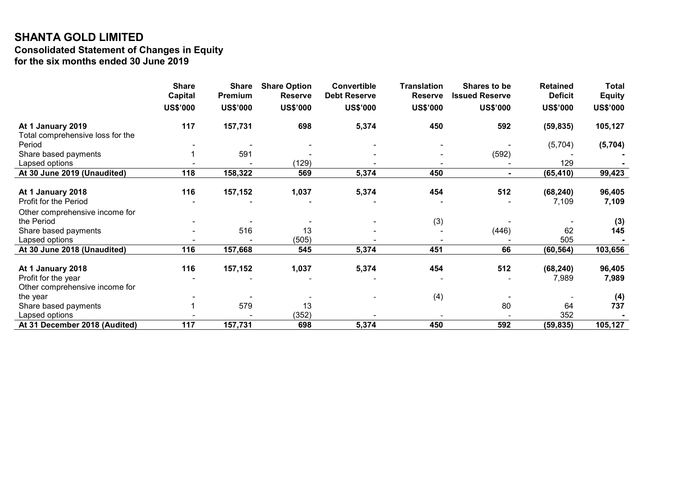# SHANTA GOLD LIMITED Consolidated Statement of Changes in Equity for the six months ended 30 June 2019

|                                                       | <b>Share</b><br><b>Capital</b> | <b>Share</b><br>Premium | <b>Share Option</b><br><b>Reserve</b> | <b>Convertible</b><br><b>Debt Reserve</b> | <b>Translation</b><br><b>Reserve</b> | Shares to be<br><b>Issued Reserve</b> | <b>Retained</b><br><b>Deficit</b> | <b>Total</b><br><b>Equity</b> |
|-------------------------------------------------------|--------------------------------|-------------------------|---------------------------------------|-------------------------------------------|--------------------------------------|---------------------------------------|-----------------------------------|-------------------------------|
|                                                       |                                |                         |                                       |                                           |                                      |                                       |                                   |                               |
|                                                       | <b>US\$'000</b>                | <b>US\$'000</b>         | <b>US\$'000</b>                       | <b>US\$'000</b>                           | <b>US\$'000</b>                      | <b>US\$'000</b>                       | <b>US\$'000</b>                   | <b>US\$'000</b>               |
| At 1 January 2019<br>Total comprehensive loss for the | 117                            | 157,731                 | 698                                   | 5,374                                     | 450                                  | 592                                   | (59, 835)                         | 105,127                       |
| Period                                                |                                |                         |                                       |                                           |                                      |                                       | (5,704)                           | (5,704)                       |
| Share based payments                                  |                                | 591                     |                                       |                                           |                                      | (592)                                 |                                   |                               |
| Lapsed options                                        |                                |                         | (129)                                 |                                           |                                      |                                       | 129                               |                               |
| At 30 June 2019 (Unaudited)                           | 118                            | 158,322                 | 569                                   | 5,374                                     | 450                                  | $\blacksquare$                        | (65, 410)                         | 99,423                        |
|                                                       |                                |                         |                                       |                                           |                                      |                                       |                                   |                               |
| At 1 January 2018                                     | 116                            | 157,152                 | 1,037                                 | 5,374                                     | 454                                  | 512                                   | (68, 240)                         | 96,405                        |
| Profit for the Period                                 |                                |                         |                                       |                                           |                                      |                                       | 7,109                             | 7,109                         |
| Other comprehensive income for                        |                                |                         |                                       |                                           |                                      |                                       |                                   |                               |
| the Period                                            |                                |                         |                                       |                                           | (3)                                  |                                       |                                   | (3)                           |
| Share based payments                                  |                                | 516                     | 13                                    |                                           |                                      | (446)                                 | 62                                | 145                           |
| Lapsed options                                        |                                |                         | (505)                                 |                                           |                                      |                                       | 505                               |                               |
| At 30 June 2018 (Unaudited)                           | 116                            | 157,668                 | 545                                   | 5,374                                     | 451                                  | 66                                    | (60, 564)                         | 103,656                       |
|                                                       |                                |                         |                                       |                                           |                                      |                                       |                                   |                               |
| At 1 January 2018                                     | 116                            | 157,152                 | 1,037                                 | 5,374                                     | 454                                  | 512                                   | (68, 240)                         | 96,405                        |
| Profit for the year                                   |                                |                         |                                       |                                           |                                      |                                       | 7,989                             | 7,989                         |
| Other comprehensive income for                        |                                |                         |                                       |                                           |                                      |                                       |                                   |                               |
| the year                                              |                                |                         |                                       |                                           | (4)                                  |                                       |                                   | (4)                           |
| Share based payments                                  |                                | 579                     | 13                                    |                                           |                                      | 80                                    | 64                                | 737                           |
| Lapsed options                                        |                                |                         | (352)                                 |                                           |                                      |                                       | 352                               |                               |
| At 31 December 2018 (Audited)                         | 117                            | 157,731                 | 698                                   | 5,374                                     | 450                                  | 592                                   | (59, 835)                         | 105,127                       |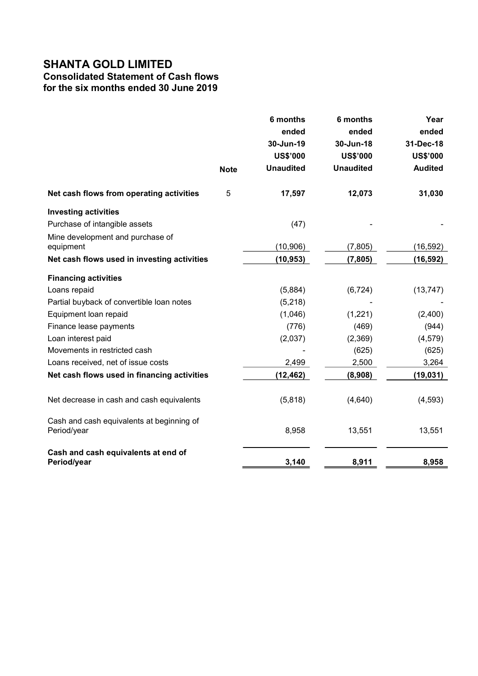# Consolidated Statement of Cash flows

for the six months ended 30 June 2019

|                                                          |             | 6 months<br>ended<br>30-Jun-19<br><b>US\$'000</b> | 6 months<br>ended<br>30-Jun-18<br><b>US\$'000</b> | Year<br>ended<br>31-Dec-18<br><b>US\$'000</b> |
|----------------------------------------------------------|-------------|---------------------------------------------------|---------------------------------------------------|-----------------------------------------------|
|                                                          | <b>Note</b> | <b>Unaudited</b>                                  | <b>Unaudited</b>                                  | <b>Audited</b>                                |
| Net cash flows from operating activities                 | 5           | 17,597                                            | 12,073                                            | 31,030                                        |
| <b>Investing activities</b>                              |             |                                                   |                                                   |                                               |
| Purchase of intangible assets                            |             | (47)                                              |                                                   |                                               |
| Mine development and purchase of<br>equipment            |             | (10, 906)                                         | (7, 805)                                          | (16, 592)                                     |
| Net cash flows used in investing activities              |             | (10, 953)                                         | (7, 805)                                          | (16, 592)                                     |
| <b>Financing activities</b>                              |             |                                                   |                                                   |                                               |
| Loans repaid                                             |             | (5,884)                                           | (6, 724)                                          | (13, 747)                                     |
| Partial buyback of convertible loan notes                |             | (5,218)                                           |                                                   |                                               |
| Equipment loan repaid                                    |             | (1,046)                                           | (1,221)                                           | (2,400)                                       |
| Finance lease payments                                   |             | (776)                                             | (469)                                             | (944)                                         |
| Loan interest paid                                       |             | (2,037)                                           | (2,369)                                           | (4, 579)                                      |
| Movements in restricted cash                             |             |                                                   | (625)                                             | (625)                                         |
| Loans received, net of issue costs                       |             | 2,499                                             | 2,500                                             | 3,264                                         |
| Net cash flows used in financing activities              |             | (12, 462)                                         | (8,908)                                           | (19, 031)                                     |
| Net decrease in cash and cash equivalents                |             | (5,818)                                           | (4,640)                                           | (4, 593)                                      |
| Cash and cash equivalents at beginning of<br>Period/year |             | 8,958                                             | 13,551                                            | 13,551                                        |
| Cash and cash equivalents at end of<br>Period/year       |             | 3,140                                             | 8,911                                             | 8,958                                         |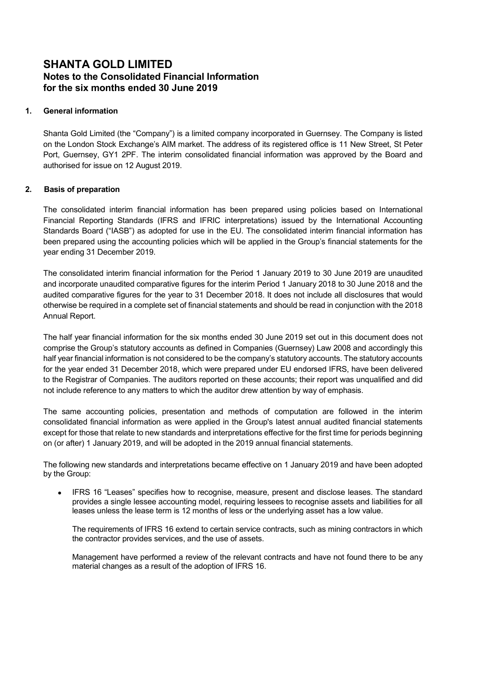# SHANTA GOLD LIMITED Notes to the Consolidated Financial Information for the six months ended 30 June 2019

### 1. General information

Shanta Gold Limited (the "Company") is a limited company incorporated in Guernsey. The Company is listed on the London Stock Exchange's AIM market. The address of its registered office is 11 New Street, St Peter Port, Guernsey, GY1 2PF. The interim consolidated financial information was approved by the Board and authorised for issue on 12 August 2019.

### 2. Basis of preparation

The consolidated interim financial information has been prepared using policies based on International Financial Reporting Standards (IFRS and IFRIC interpretations) issued by the International Accounting Standards Board ("IASB") as adopted for use in the EU. The consolidated interim financial information has been prepared using the accounting policies which will be applied in the Group's financial statements for the year ending 31 December 2019.

The consolidated interim financial information for the Period 1 January 2019 to 30 June 2019 are unaudited and incorporate unaudited comparative figures for the interim Period 1 January 2018 to 30 June 2018 and the audited comparative figures for the year to 31 December 2018. It does not include all disclosures that would otherwise be required in a complete set of financial statements and should be read in conjunction with the 2018 Annual Report.

The half year financial information for the six months ended 30 June 2019 set out in this document does not comprise the Group's statutory accounts as defined in Companies (Guernsey) Law 2008 and accordingly this half year financial information is not considered to be the company's statutory accounts. The statutory accounts for the year ended 31 December 2018, which were prepared under EU endorsed IFRS, have been delivered to the Registrar of Companies. The auditors reported on these accounts; their report was unqualified and did not include reference to any matters to which the auditor drew attention by way of emphasis.

The same accounting policies, presentation and methods of computation are followed in the interim consolidated financial information as were applied in the Group's latest annual audited financial statements except for those that relate to new standards and interpretations effective for the first time for periods beginning on (or after) 1 January 2019, and will be adopted in the 2019 annual financial statements.

The following new standards and interpretations became effective on 1 January 2019 and have been adopted by the Group:

 IFRS 16 "Leases" specifies how to recognise, measure, present and disclose leases. The standard provides a single lessee accounting model, requiring lessees to recognise assets and liabilities for all leases unless the lease term is 12 months of less or the underlying asset has a low value.

The requirements of IFRS 16 extend to certain service contracts, such as mining contractors in which the contractor provides services, and the use of assets.

Management have performed a review of the relevant contracts and have not found there to be any material changes as a result of the adoption of IFRS 16.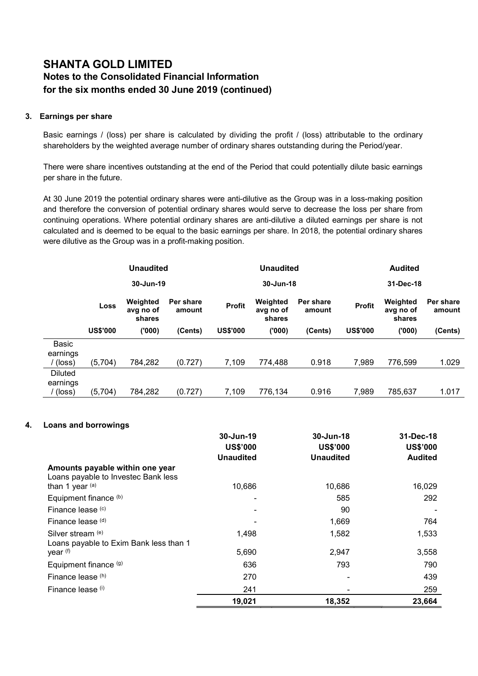# SHANTA GOLD LIMITED Notes to the Consolidated Financial Information for the six months ended 30 June 2019 (continued)

### 3. Earnings per share

Basic earnings / (loss) per share is calculated by dividing the profit / (loss) attributable to the ordinary shareholders by the weighted average number of ordinary shares outstanding during the Period/year.

There were share incentives outstanding at the end of the Period that could potentially dilute basic earnings per share in the future.

At 30 June 2019 the potential ordinary shares were anti-dilutive as the Group was in a loss-making position and therefore the conversion of potential ordinary shares would serve to decrease the loss per share from continuing operations. Where potential ordinary shares are anti-dilutive a diluted earnings per share is not calculated and is deemed to be equal to the basic earnings per share. In 2018, the potential ordinary shares were dilutive as the Group was in a profit-making position.

|                                               |                 | <b>Unaudited</b><br><b>Unaudited</b><br><b>Audited</b> |                     |                 |                                 |                     |                 |                                 |                     |
|-----------------------------------------------|-----------------|--------------------------------------------------------|---------------------|-----------------|---------------------------------|---------------------|-----------------|---------------------------------|---------------------|
|                                               |                 | 30-Jun-19                                              |                     |                 | 30-Jun-18                       |                     |                 | 31-Dec-18                       |                     |
|                                               | Loss            | Weighted<br>avg no of<br>shares                        | Per share<br>amount | <b>Profit</b>   | Weighted<br>avg no of<br>shares | Per share<br>amount | <b>Profit</b>   | Weighted<br>avg no of<br>shares | Per share<br>amount |
|                                               | <b>US\$'000</b> | ('000)                                                 | (Cents)             | <b>US\$'000</b> | (000)                           | (Cents)             | <b>US\$'000</b> | ('000)                          | (Cents)             |
| Basic<br>earnings<br>(loss)                   | (5,704)         | 784,282                                                | (0.727)             | 7,109           | 774,488                         | 0.918               | 7,989           | 776.599                         | 1.029               |
| <b>Diluted</b><br>earnings<br>$(\text{loss})$ | (5,704)         | 784,282                                                | (0.727)             | 7,109           | 776,134                         | 0.916               | 7,989           | 785,637                         | 1.017               |

### 4. Loans and borrowings

|                                                                        | 30-Jun-19<br><b>US\$'000</b> | 30-Jun-18<br><b>US\$'000</b> | 31-Dec-18<br><b>US\$'000</b> |
|------------------------------------------------------------------------|------------------------------|------------------------------|------------------------------|
|                                                                        | <b>Unaudited</b>             | <b>Unaudited</b>             | <b>Audited</b>               |
| Amounts payable within one year<br>Loans payable to Investec Bank less |                              |                              |                              |
| than 1 year $(a)$                                                      | 10,686                       | 10,686                       | 16,029                       |
| Equipment finance (b)                                                  | ۰                            | 585                          | 292                          |
| Finance lease (c)                                                      |                              | 90                           |                              |
| Finance lease (d)                                                      |                              | 1,669                        | 764                          |
| Silver stream (e)<br>Loans payable to Exim Bank less than 1            | 1,498                        | 1,582                        | 1,533                        |
| year (f)                                                               | 5,690                        | 2,947                        | 3,558                        |
| Equipment finance (g)                                                  | 636                          | 793                          | 790                          |
| Finance lease (h)                                                      | 270                          |                              | 439                          |
| Finance lease (i)                                                      | 241                          |                              | 259                          |
|                                                                        | 19,021                       | 18,352                       | 23,664                       |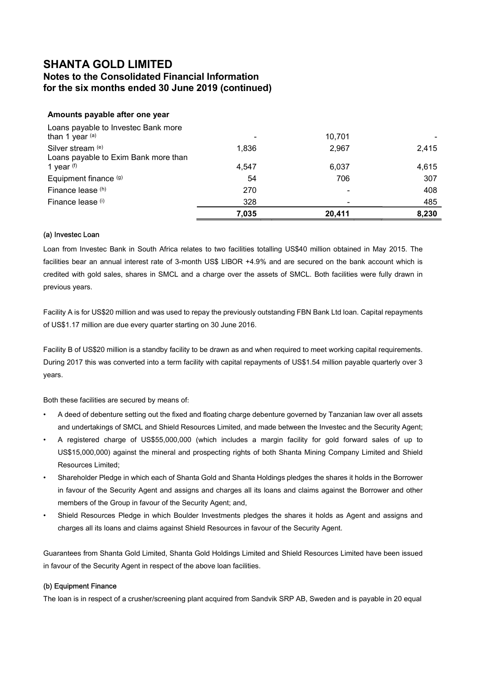# Notes to the Consolidated Financial Information for the six months ended 30 June 2019 (continued)

### Amounts payable after one year

| Loans payable to Investec Bank more<br>than 1 year $(a)$ |       | 10,701 |       |
|----------------------------------------------------------|-------|--------|-------|
| Silver stream (e)                                        | 1,836 | 2,967  | 2,415 |
| Loans payable to Exim Bank more than                     |       |        |       |
| 1 year $(f)$                                             | 4.547 | 6,037  | 4,615 |
| Equipment finance (g)                                    | 54    | 706    | 307   |
| Finance lease (h)                                        | 270   |        | 408   |
| Finance lease (i)                                        | 328   |        | 485   |
|                                                          | 7,035 | 20,411 | 8,230 |

#### (a) Investec Loan

Loan from Investec Bank in South Africa relates to two facilities totalling US\$40 million obtained in May 2015. The facilities bear an annual interest rate of 3-month US\$ LIBOR +4.9% and are secured on the bank account which is credited with gold sales, shares in SMCL and a charge over the assets of SMCL. Both facilities were fully drawn in previous years.

Facility A is for US\$20 million and was used to repay the previously outstanding FBN Bank Ltd loan. Capital repayments of US\$1.17 million are due every quarter starting on 30 June 2016.

Facility B of US\$20 million is a standby facility to be drawn as and when required to meet working capital requirements. During 2017 this was converted into a term facility with capital repayments of US\$1.54 million payable quarterly over 3 years.

Both these facilities are secured by means of:

- A deed of debenture setting out the fixed and floating charge debenture governed by Tanzanian law over all assets and undertakings of SMCL and Shield Resources Limited, and made between the Investec and the Security Agent;
- A registered charge of US\$55,000,000 (which includes a margin facility for gold forward sales of up to US\$15,000,000) against the mineral and prospecting rights of both Shanta Mining Company Limited and Shield Resources Limited;
- Shareholder Pledge in which each of Shanta Gold and Shanta Holdings pledges the shares it holds in the Borrower in favour of the Security Agent and assigns and charges all its loans and claims against the Borrower and other members of the Group in favour of the Security Agent; and,
- Shield Resources Pledge in which Boulder Investments pledges the shares it holds as Agent and assigns and charges all its loans and claims against Shield Resources in favour of the Security Agent.

Guarantees from Shanta Gold Limited, Shanta Gold Holdings Limited and Shield Resources Limited have been issued in favour of the Security Agent in respect of the above loan facilities.

### (b) Equipment Finance

The loan is in respect of a crusher/screening plant acquired from Sandvik SRP AB, Sweden and is payable in 20 equal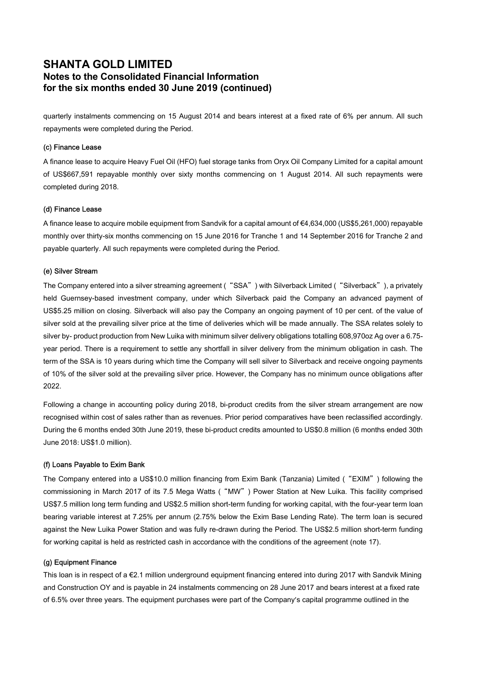# SHANTA GOLD LIMITED Notes to the Consolidated Financial Information for the six months ended 30 June 2019 (continued)

quarterly instalments commencing on 15 August 2014 and bears interest at a fixed rate of 6% per annum. All such repayments were completed during the Period.

#### (c) Finance Lease

A finance lease to acquire Heavy Fuel Oil (HFO) fuel storage tanks from Oryx Oil Company Limited for a capital amount of US\$667,591 repayable monthly over sixty months commencing on 1 August 2014. All such repayments were completed during 2018.

#### (d) Finance Lease

A finance lease to acquire mobile equipment from Sandvik for a capital amount of €4,634,000 (US\$5,261,000) repayable monthly over thirty-six months commencing on 15 June 2016 for Tranche 1 and 14 September 2016 for Tranche 2 and payable quarterly. All such repayments were completed during the Period.

#### (e) Silver Stream

The Company entered into a silver streaming agreement ("SSA") with Silverback Limited ("Silverback"), a privately held Guernsey-based investment company, under which Silverback paid the Company an advanced payment of US\$5.25 million on closing. Silverback will also pay the Company an ongoing payment of 10 per cent. of the value of silver sold at the prevailing silver price at the time of deliveries which will be made annually. The SSA relates solely to silver by- product production from New Luika with minimum silver delivery obligations totalling 608,970oz Ag over a 6.75 year period. There is a requirement to settle any shortfall in silver delivery from the minimum obligation in cash. The term of the SSA is 10 years during which time the Company will sell silver to Silverback and receive ongoing payments of 10% of the silver sold at the prevailing silver price. However, the Company has no minimum ounce obligations after 2022.

Following a change in accounting policy during 2018, bi-product credits from the silver stream arrangement are now recognised within cost of sales rather than as revenues. Prior period comparatives have been reclassified accordingly. During the 6 months ended 30th June 2019, these bi-product credits amounted to US\$0.8 million (6 months ended 30th June 2018: US\$1.0 million).

#### (f) Loans Payable to Exim Bank

The Company entered into a US\$10.0 million financing from Exim Bank (Tanzania) Limited ("EXIM") following the commissioning in March 2017 of its 7.5 Mega Watts ("MW") Power Station at New Luika. This facility comprised US\$7.5 million long term funding and US\$2.5 million short-term funding for working capital, with the four-year term loan bearing variable interest at 7.25% per annum (2.75% below the Exim Base Lending Rate). The term loan is secured against the New Luika Power Station and was fully re-drawn during the Period. The US\$2.5 million short-term funding for working capital is held as restricted cash in accordance with the conditions of the agreement (note 17).

#### (g) Equipment Finance

This loan is in respect of a €2.1 million underground equipment financing entered into during 2017 with Sandvik Mining and Construction OY and is payable in 24 instalments commencing on 28 June 2017 and bears interest at a fixed rate of 6.5% over three years. The equipment purchases were part of the Company's capital programme outlined in the